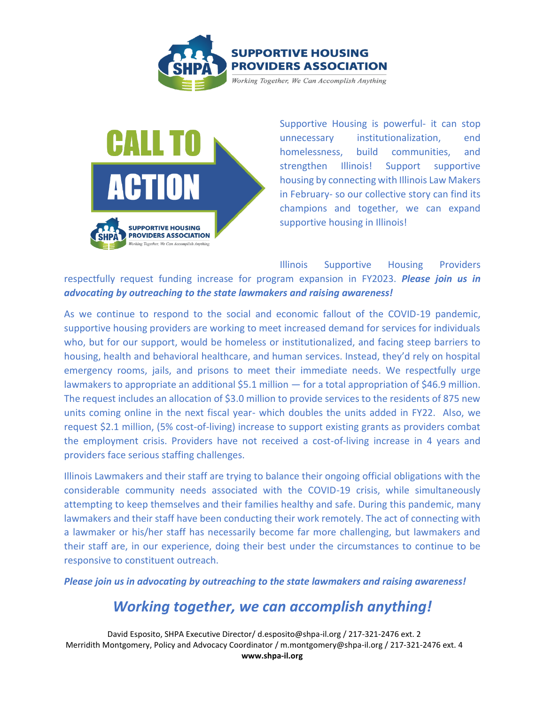



Supportive Housing is powerful- it can stop unnecessary institutionalization, end homelessness, build communities, and strengthen Illinois! Support supportive housing by connecting with Illinois Law Makers in February- so our collective story can find its champions and together, we can expand supportive housing in Illinois!

Illinois Supportive Housing Providers respectfully request funding increase for program expansion in FY2023. *Please join us in advocating by outreaching to the state lawmakers and raising awareness!*

As we continue to respond to the social and economic fallout of the COVID-19 pandemic, supportive housing providers are working to meet increased demand for services for individuals who, but for our support, would be homeless or institutionalized, and facing steep barriers to housing, health and behavioral healthcare, and human services. Instead, they'd rely on hospital emergency rooms, jails, and prisons to meet their immediate needs. We respectfully urge lawmakers to appropriate an additional \$5.1 million — for a total appropriation of \$46.9 million. The request includes an allocation of \$3.0 million to provide services to the residents of 875 new units coming online in the next fiscal year- which doubles the units added in FY22. Also, we request \$2.1 million, (5% cost-of-living) increase to support existing grants as providers combat the employment crisis. Providers have not received a cost-of-living increase in 4 years and providers face serious staffing challenges.

Illinois Lawmakers and their staff are trying to balance their ongoing official obligations with the considerable community needs associated with the COVID-19 crisis, while simultaneously attempting to keep themselves and their families healthy and safe. During this pandemic, many lawmakers and their staff have been conducting their work remotely. The act of connecting with a lawmaker or his/her staff has necessarily become far more challenging, but lawmakers and their staff are, in our experience, doing their best under the circumstances to continue to be responsive to constituent outreach.

*Please join us in advocating by outreaching to the state lawmakers and raising awareness!*

# *Working together, we can accomplish anything!*

David Esposito, SHPA Executive Director/ d.esposito@shpa-il.org / 217-321-2476 ext. 2 Merridith Montgomery, Policy and Advocacy Coordinator / m.montgomery@shpa-il.org / 217-321-2476 ext. 4 **www.shpa-il.org**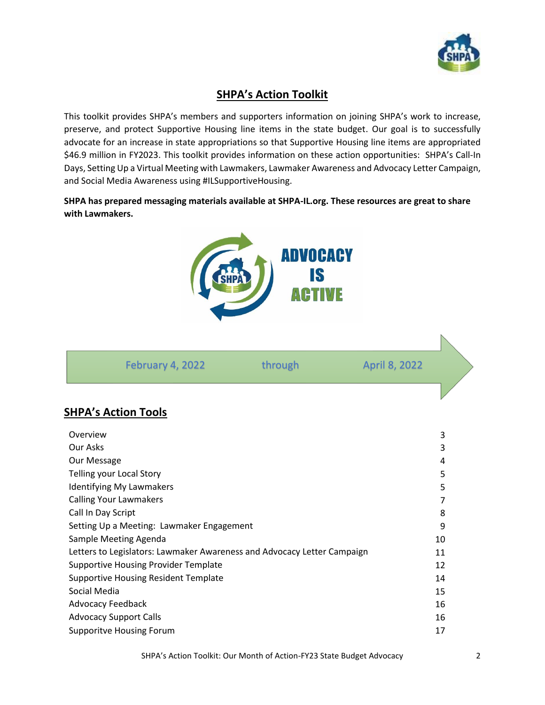

# **SHPA's Action Toolkit**

This toolkit provides SHPA's members and supporters information on joining SHPA's work to increase, preserve, and protect Supportive Housing line items in the state budget. Our goal is to successfully advocate for an increase in state appropriations so that Supportive Housing line items are appropriated \$46.9 million in FY2023. This toolkit provides information on these action opportunities: SHPA's Call-In Days, Setting Up a Virtual Meeting with Lawmakers, Lawmaker Awareness and Advocacy Letter Campaign, and Social Media Awareness using #ILSupportiveHousing.

**SHPA has prepared messaging materials available at SHPA-IL.org. These resources are great to share with Lawmakers.** 



| February 4, 2022 | through | April 8, 2022 |  |
|------------------|---------|---------------|--|
|                  |         |               |  |

### **SHPA's Action Tools**

| Overview                                                                | 3  |
|-------------------------------------------------------------------------|----|
| Our Asks                                                                | 3  |
| Our Message                                                             | 4  |
| Telling your Local Story                                                | 5  |
| <b>Identifying My Lawmakers</b>                                         | 5  |
| <b>Calling Your Lawmakers</b>                                           | 7  |
| Call In Day Script                                                      | 8  |
| Setting Up a Meeting: Lawmaker Engagement                               | 9  |
| Sample Meeting Agenda                                                   | 10 |
| Letters to Legislators: Lawmaker Awareness and Advocacy Letter Campaign | 11 |
| <b>Supportive Housing Provider Template</b>                             | 12 |
| <b>Supportive Housing Resident Template</b>                             | 14 |
| Social Media                                                            | 15 |
| <b>Advocacy Feedback</b>                                                | 16 |
| <b>Advocacy Support Calls</b>                                           | 16 |
| <b>Supporitve Housing Forum</b>                                         | 17 |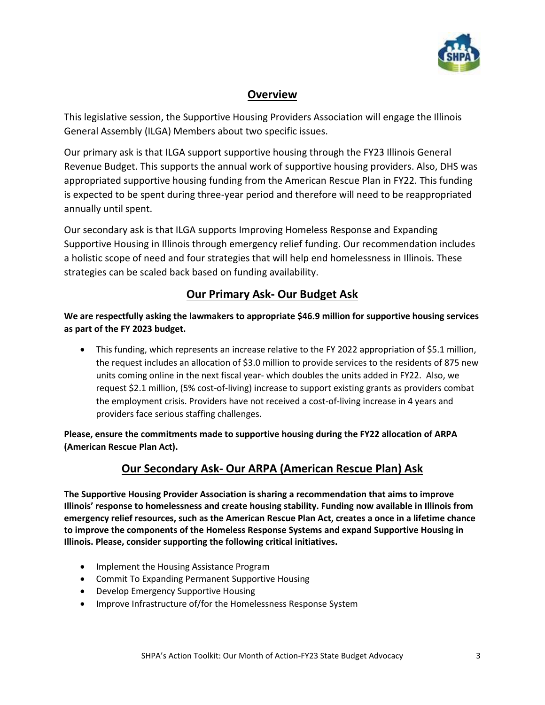

### **Overview**

This legislative session, the Supportive Housing Providers Association will engage the Illinois General Assembly (ILGA) Members about two specific issues.

Our primary ask is that ILGA support supportive housing through the FY23 Illinois General Revenue Budget. This supports the annual work of supportive housing providers. Also, DHS was appropriated supportive housing funding from the American Rescue Plan in FY22. This funding is expected to be spent during three-year period and therefore will need to be reappropriated annually until spent.

Our secondary ask is that ILGA supports Improving Homeless Response and Expanding Supportive Housing in Illinois through emergency relief funding. Our recommendation includes a holistic scope of need and four strategies that will help end homelessness in Illinois. These strategies can be scaled back based on funding availability.

### **Our Primary Ask- Our Budget Ask**

**We are respectfully asking the lawmakers to appropriate \$46.9 million for supportive housing services as part of the FY 2023 budget.** 

• This funding, which represents an increase relative to the FY 2022 appropriation of \$5.1 million, the request includes an allocation of \$3.0 million to provide services to the residents of 875 new units coming online in the next fiscal year- which doubles the units added in FY22. Also, we request \$2.1 million, (5% cost-of-living) increase to support existing grants as providers combat the employment crisis. Providers have not received a cost-of-living increase in 4 years and providers face serious staffing challenges.

**Please, ensure the commitments made to supportive housing during the FY22 allocation of ARPA (American Rescue Plan Act).** 

# **Our Secondary Ask- Our ARPA (American Rescue Plan) Ask**

**The Supportive Housing Provider Association is sharing a recommendation that aims to improve Illinois' response to homelessness and create housing stability. Funding now available in Illinois from emergency relief resources, such as the American Rescue Plan Act, creates a once in a lifetime chance to improve the components of the Homeless Response Systems and expand Supportive Housing in Illinois. Please, consider supporting the following critical initiatives.**

- Implement the Housing Assistance Program
- Commit To Expanding Permanent Supportive Housing
- Develop Emergency Supportive Housing
- Improve Infrastructure of/for the Homelessness Response System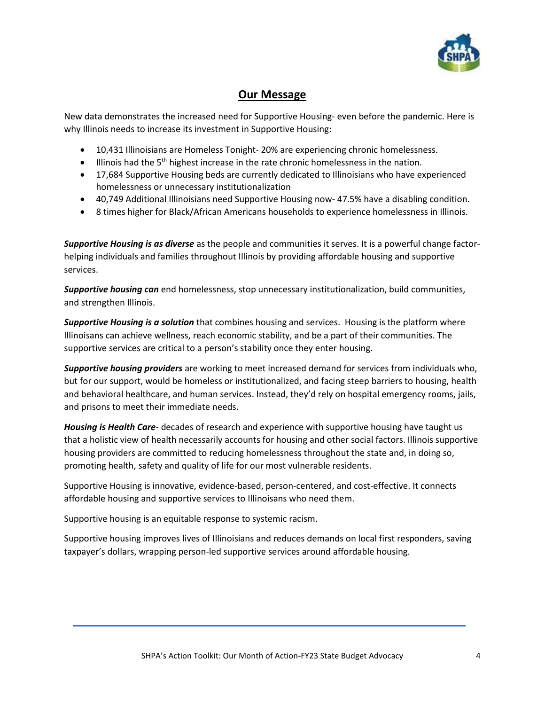

### **Our Message**

New data demonstrates the increased need for Supportive Housing- even before the pandemic. Here is why Illinois needs to increase its investment in Supportive Housing:

- 10,431 Illinoisians are Homeless Tonight-20% are experiencing chronic homelessness.
- Illinois had the 5<sup>th</sup> highest increase in the rate chronic homelessness in the nation.
- 17,684 Supportive Housing beds are currently dedicated to Illinoisians who have experienced homelessness or unnecessary institutionalization
- 40,749 Additional Illinoisians need Supportive Housing now- 47.5% have a disabling condition.
- 8 times higher for Black/African Americans households to experience homelessness in Illinois.

*Supportive Housing is as diverse* as the people and communities it serves. It is a powerful change factorhelping individuals and families throughout Illinois by providing affordable housing and supportive services.

*Supportive housing can* end homelessness, stop unnecessary institutionalization, build communities, and strengthen Illinois.

*Supportive Housing is a solution* that combines housing and services. Housing is the platform where Illinoisans can achieve wellness, reach economic stability, and be a part of their communities. The supportive services are critical to a person's stability once they enter housing.

*Supportive housing providers* are working to meet increased demand for services from individuals who, but for our support, would be homeless or institutionalized, and facing steep barriers to housing, health and behavioral healthcare, and human services. Instead, they'd rely on hospital emergency rooms, jails, and prisons to meet their immediate needs.

*Housing is Health Care*- decades of research and experience with supportive housing have taught us that a holistic view of health necessarily accounts for housing and other social factors. Illinois supportive housing providers are committed to reducing homelessness throughout the state and, in doing so, promoting health, safety and quality of life for our most vulnerable residents.

Supportive Housing is innovative, evidence-based, person-centered, and cost-effective. It connects affordable housing and supportive services to Illinoisans who need them.

Supportive housing is an equitable response to systemic racism.

Supportive housing improves lives of Illinoisians and reduces demands on local first responders, saving taxpayer's dollars, wrapping person-led supportive services around affordable housing.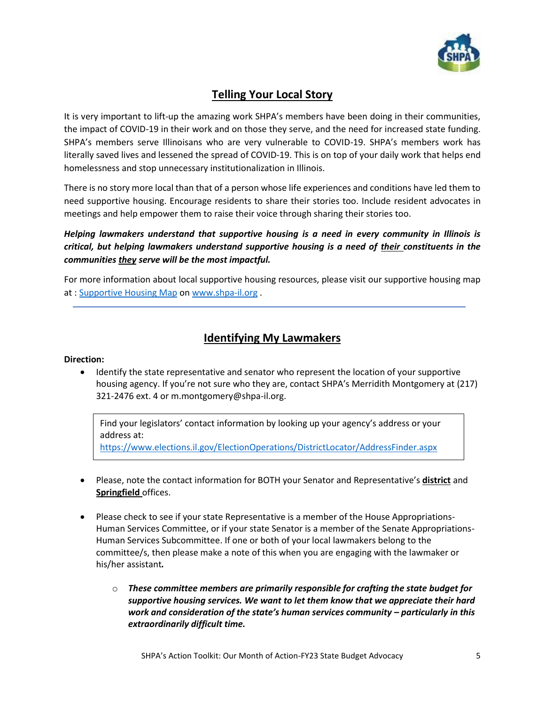

### **Telling Your Local Story**

It is very important to lift-up the amazing work SHPA's members have been doing in their communities, the impact of COVID-19 in their work and on those they serve, and the need for increased state funding. SHPA's members serve Illinoisans who are very vulnerable to COVID-19. SHPA's members work has literally saved lives and lessened the spread of COVID-19. This is on top of your daily work that helps end homelessness and stop unnecessary institutionalization in Illinois.

There is no story more local than that of a person whose life experiences and conditions have led them to need supportive housing. Encourage residents to share their stories too. Include resident advocates in meetings and help empower them to raise their voice through sharing their stories too.

*Helping lawmakers understand that supportive housing is a need in every community in Illinois is critical, but helping lawmakers understand supportive housing is a need of their constituents in the communities they serve will be the most impactful.* 

For more information about local supportive housing resources, please visit our supportive housing map at : [Supportive Housing Map](https://univofillinois.maps.arcgis.com/apps/webappviewer/index.html?id=f68131fa000c4b86bc41c552dc1c6789) on [www.shpa-il.org](http://www.shpa-il.org/) .

### **Identifying My Lawmakers**

#### **Direction:**

• Identify the state representative and senator who represent the location of your supportive housing agency. If you're not sure who they are, contact SHPA's Merridith Montgomery at (217) 321-2476 ext. 4 or m.montgomery@shpa-il.org.

Find your legislators' contact information by looking up your agency's address or your address at:

<https://www.elections.il.gov/ElectionOperations/DistrictLocator/AddressFinder.aspx>

- Please, note the contact information for BOTH your Senator and Representative's **district** and **Springfield** offices.
- Please check to see if your state Representative is a member of the House Appropriations-Human Services Committee, or if your state Senator is a member of the Senate Appropriations-Human Services Subcommittee. If one or both of your local lawmakers belong to the committee/s, then please make a note of this when you are engaging with the lawmaker or his/her assistant*.* 
	- o *These committee members are primarily responsible for crafting the state budget for supportive housing services. We want to let them know that we appreciate their hard work and consideration of the state's human services community – particularly in this extraordinarily difficult time.*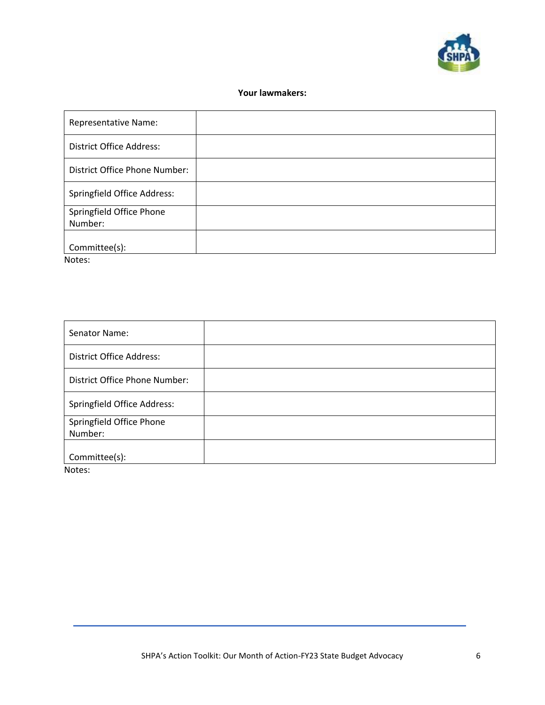

#### **Your lawmakers:**

| <b>Representative Name:</b>         |  |
|-------------------------------------|--|
| <b>District Office Address:</b>     |  |
| District Office Phone Number:       |  |
| <b>Springfield Office Address:</b>  |  |
| Springfield Office Phone<br>Number: |  |
| Committee(s):<br>.                  |  |

Notes:

| Senator Name:                   |  |
|---------------------------------|--|
| <b>District Office Address:</b> |  |
| District Office Phone Number:   |  |
| Springfield Office Address:     |  |
| Springfield Office Phone        |  |
| Number:                         |  |
|                                 |  |
| Committee(s):                   |  |

Notes: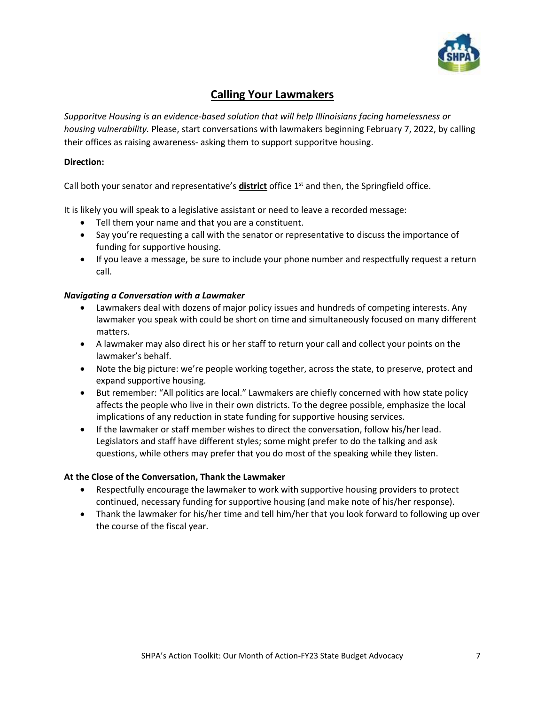

### **Calling Your Lawmakers**

*Supporitve Housing is an evidence-based solution that will help Illinoisians facing homelessness or housing vulnerability.* Please, start conversations with lawmakers beginning February 7, 2022, by calling their offices as raising awareness- asking them to support supporitve housing.

#### **Direction:**

Call both your senator and representative's **district** office 1st and then, the Springfield office.

It is likely you will speak to a legislative assistant or need to leave a recorded message:

- Tell them your name and that you are a constituent.
- Say you're requesting a call with the senator or representative to discuss the importance of funding for supportive housing.
- If you leave a message, be sure to include your phone number and respectfully request a return call.

#### *Navigating a Conversation with a Lawmaker*

- Lawmakers deal with dozens of major policy issues and hundreds of competing interests. Any lawmaker you speak with could be short on time and simultaneously focused on many different matters.
- A lawmaker may also direct his or her staff to return your call and collect your points on the lawmaker's behalf.
- Note the big picture: we're people working together, across the state, to preserve, protect and expand supportive housing.
- But remember: "All politics are local." Lawmakers are chiefly concerned with how state policy affects the people who live in their own districts. To the degree possible, emphasize the local implications of any reduction in state funding for supportive housing services.
- If the lawmaker or staff member wishes to direct the conversation, follow his/her lead. Legislators and staff have different styles; some might prefer to do the talking and ask questions, while others may prefer that you do most of the speaking while they listen.

#### **At the Close of the Conversation, Thank the Lawmaker**

- Respectfully encourage the lawmaker to work with supportive housing providers to protect continued, necessary funding for supportive housing (and make note of his/her response).
- Thank the lawmaker for his/her time and tell him/her that you look forward to following up over the course of the fiscal year.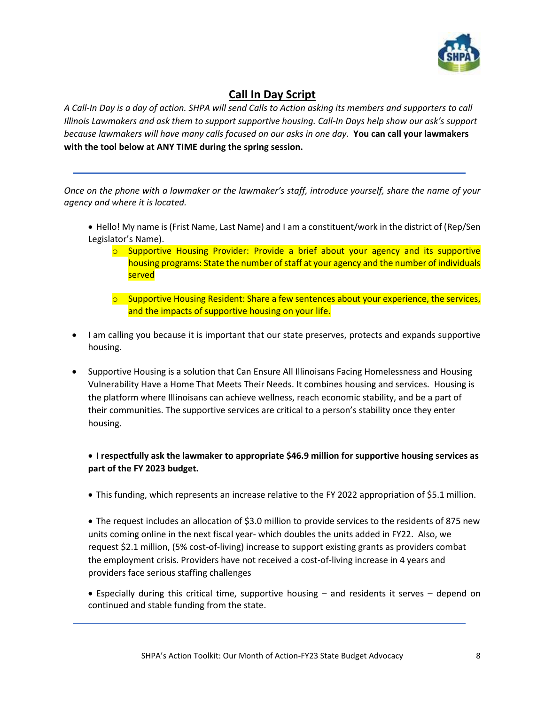

### **Call In Day Script**

*A Call-In Day is a day of action. SHPA will send Calls to Action asking its members and supporters to call Illinois Lawmakers and ask them to support supportive housing. Call-In Days help show our ask's support because lawmakers will have many calls focused on our asks in one day.* **You can call your lawmakers with the tool below at ANY TIME during the spring session.** 

*Once on the phone with a lawmaker or the lawmaker's staff, introduce yourself, share the name of your agency and where it is located.*

- Hello! My name is (Frist Name, Last Name) and I am a constituent/work in the district of (Rep/Sen Legislator's Name).
	- $\circ$  Supportive Housing Provider: Provide a brief about your agency and its supportive housing programs: State the number of staff at your agency and the number of individuals served
	- $\circ$  Supportive Housing Resident: Share a few sentences about your experience, the services, and the impacts of supportive housing on your life.
- I am calling you because it is important that our state preserves, protects and expands supportive housing.
- Supportive Housing is a solution that Can Ensure All Illinoisans Facing Homelessness and Housing Vulnerability Have a Home That Meets Their Needs. It combines housing and services. Housing is the platform where Illinoisans can achieve wellness, reach economic stability, and be a part of their communities. The supportive services are critical to a person's stability once they enter housing.

### • **I respectfully ask the lawmaker to appropriate \$46.9 million for supportive housing services as part of the FY 2023 budget.**

• This funding, which represents an increase relative to the FY 2022 appropriation of \$5.1 million.

• The request includes an allocation of \$3.0 million to provide services to the residents of 875 new units coming online in the next fiscal year- which doubles the units added in FY22. Also, we request \$2.1 million, (5% cost-of-living) increase to support existing grants as providers combat the employment crisis. Providers have not received a cost-of-living increase in 4 years and providers face serious staffing challenges

• Especially during this critical time, supportive housing – and residents it serves – depend on continued and stable funding from the state.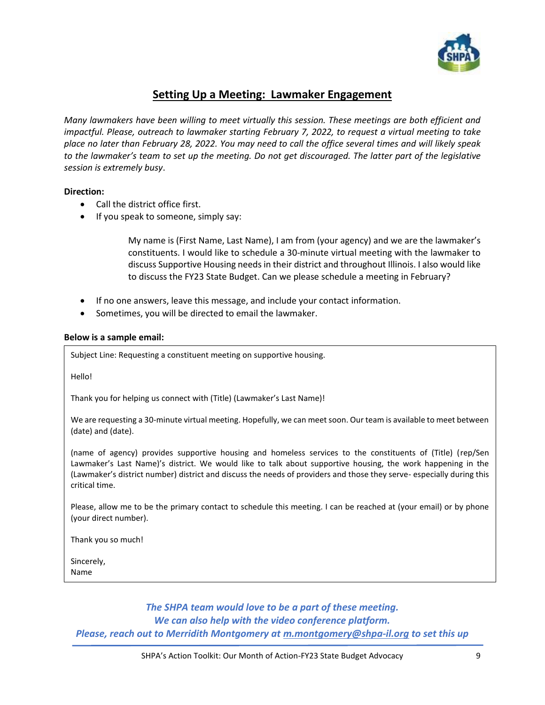

### **Setting Up a Meeting: Lawmaker Engagement**

*Many lawmakers have been willing to meet virtually this session. These meetings are both efficient and impactful. Please, outreach to lawmaker starting February 7, 2022, to request a virtual meeting to take place no later than February 28, 2022. You may need to call the office several times and will likely speak to the lawmaker's team to set up the meeting. Do not get discouraged. The latter part of the legislative session is extremely busy*.

#### **Direction:**

- Call the district office first.
- If you speak to someone, simply say:

My name is (First Name, Last Name), I am from (your agency) and we are the lawmaker's constituents. I would like to schedule a 30-minute virtual meeting with the lawmaker to discuss Supportive Housing needs in their district and throughout Illinois. I also would like to discuss the FY23 State Budget. Can we please schedule a meeting in February?

- If no one answers, leave this message, and include your contact information.
- Sometimes, you will be directed to email the lawmaker.

#### **Below is a sample email:**

Subject Line: Requesting a constituent meeting on supportive housing.

Hello!

Thank you for helping us connect with (Title) (Lawmaker's Last Name)!

We are requesting a 30-minute virtual meeting. Hopefully, we can meet soon. Our team is available to meet between (date) and (date).

(name of agency) provides supportive housing and homeless services to the constituents of (Title) (rep/Sen Lawmaker's Last Name)'s district. We would like to talk about supportive housing, the work happening in the (Lawmaker's district number) district and discuss the needs of providers and those they serve- especially during this critical time.

Please, allow me to be the primary contact to schedule this meeting. I can be reached at (your email) or by phone (your direct number).

Thank you so much!

Sincerely, Name

> *The SHPA team would love to be a part of these meeting. We can also help with the video conference platform. Please, reach out to Merridith Montgomery at [m.montgomery@shpa-il.org](mailto:m.montgomery@shpa-il.org) to set this up*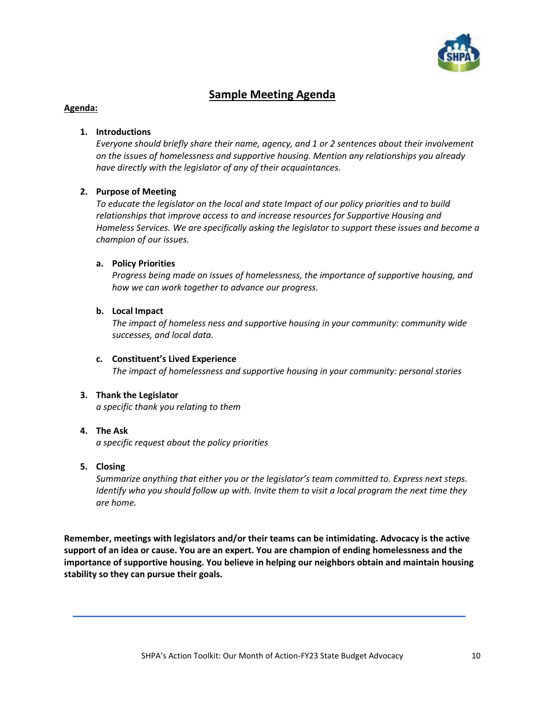

# **Sample Meeting Agenda**

#### **Agenda:**

#### **1. Introductions**

*Everyone should briefly share their name, agency, and 1 or 2 sentences about their involvement on the issues of homelessness and supportive housing. Mention any relationships you already have directly with the legislator of any of their acquaintances.* 

#### **2. Purpose of Meeting**

*To educate the legislator on the local and state Impact of our policy priorities and to build relationships that improve access to and increase resources for Supportive Housing and Homeless Services. We are specifically asking the legislator to support these issues and become a champion of our issues.* 

#### **a. Policy Priorities**

*Progress being made on issues of homelessness, the importance of supportive housing, and how we can work together to advance our progress.* 

#### **b. Local Impact**

*The impact of homeless ness and supportive housing in your community: community wide successes, and local data.* 

#### **c. Constituent's Lived Experience**  *The impact of homelessness and supportive housing in your community: personal stories*

#### **3. Thank the Legislator**

*a specific thank you relating to them*

#### **4. The Ask**

*a specific request about the policy priorities*

#### **5. Closing**

*Summarize anything that either you or the legislator's team committed to. Express next steps. Identify who you should follow up with. Invite them to visit a local program the next time they are home.*

**Remember, meetings with legislators and/or their teams can be intimidating. Advocacy is the active support of an idea or cause. You are an expert. You are champion of ending homelessness and the importance of supportive housing. You believe in helping our neighbors obtain and maintain housing stability so they can pursue their goals.**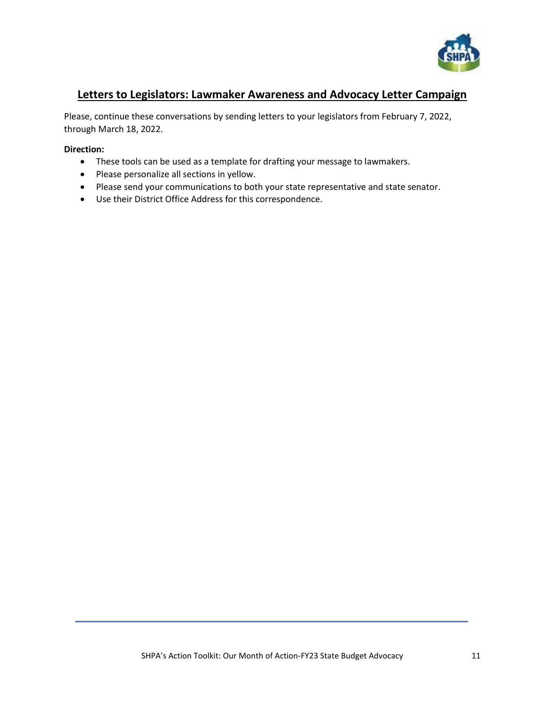

### **Letters to Legislators: Lawmaker Awareness and Advocacy Letter Campaign**

Please, continue these conversations by sending letters to your legislators from February 7, 2022, through March 18, 2022.

#### **Direction:**

- These tools can be used as a template for drafting your message to lawmakers.
- Please personalize all sections in yellow.
- Please send your communications to both your state representative and state senator.
- Use their District Office Address for this correspondence.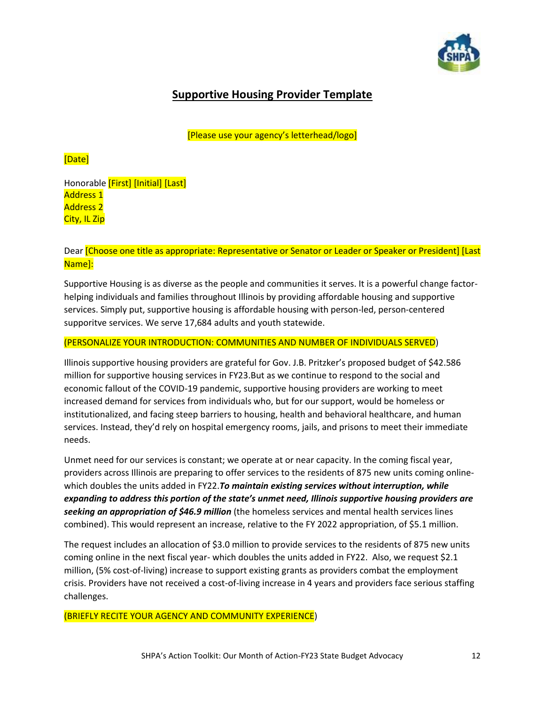

# **Supportive Housing Provider Template**

[Please use your agency's letterhead/logo]

### [Date]

Honorable [First] [Initial] [Last] Address 1 Address 2 City, IL Zip

#### Dear [Choose one title as appropriate: Representative or Senator or Leader or Speaker or President] [Last Name]:

Supportive Housing is as diverse as the people and communities it serves. It is a powerful change factorhelping individuals and families throughout Illinois by providing affordable housing and supportive services. Simply put, supportive housing is affordable housing with person-led, person-centered supporitve services. We serve 17,684 adults and youth statewide.

#### (PERSONALIZE YOUR INTRODUCTION: COMMUNITIES AND NUMBER OF INDIVIDUALS SERVED)

Illinois supportive housing providers are grateful for Gov. J.B. Pritzker's proposed budget of \$42.586 million for supportive housing services in FY23.But as we continue to respond to the social and economic fallout of the COVID-19 pandemic, supportive housing providers are working to meet increased demand for services from individuals who, but for our support, would be homeless or institutionalized, and facing steep barriers to housing, health and behavioral healthcare, and human services. Instead, they'd rely on hospital emergency rooms, jails, and prisons to meet their immediate needs.

Unmet need for our services is constant; we operate at or near capacity. In the coming fiscal year, providers across Illinois are preparing to offer services to the residents of 875 new units coming onlinewhich doubles the units added in FY22.*To maintain existing services without interruption, while expanding to address this portion of the state's unmet need, Illinois supportive housing providers are seeking an appropriation of \$46.9 million* (the homeless services and mental health services lines combined). This would represent an increase, relative to the FY 2022 appropriation, of \$5.1 million.

The request includes an allocation of \$3.0 million to provide services to the residents of 875 new units coming online in the next fiscal year- which doubles the units added in FY22. Also, we request \$2.1 million, (5% cost-of-living) increase to support existing grants as providers combat the employment crisis. Providers have not received a cost-of-living increase in 4 years and providers face serious staffing challenges.

(BRIEFLY RECITE YOUR AGENCY AND COMMUNITY EXPERIENCE)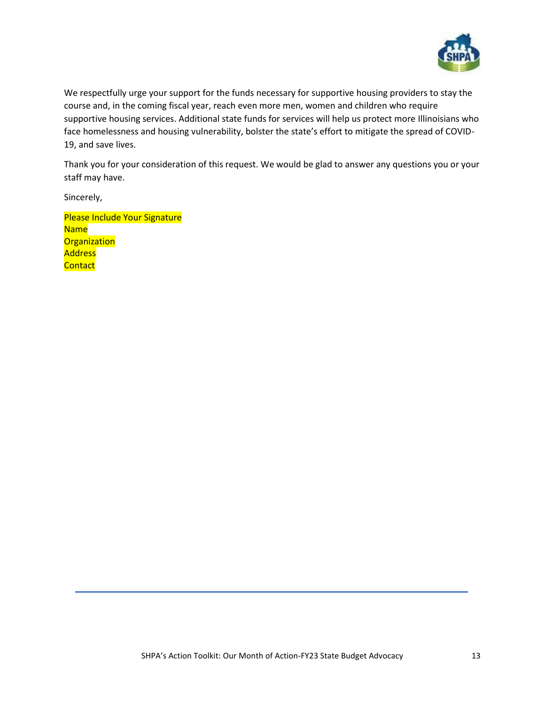

We respectfully urge your support for the funds necessary for supportive housing providers to stay the course and, in the coming fiscal year, reach even more men, women and children who require supportive housing services. Additional state funds for services will help us protect more Illinoisians who face homelessness and housing vulnerability, bolster the state's effort to mitigate the spread of COVID-19, and save lives.

Thank you for your consideration of this request. We would be glad to answer any questions you or your staff may have.

Sincerely,

Please Include Your Signature Name **Organization Address Contact**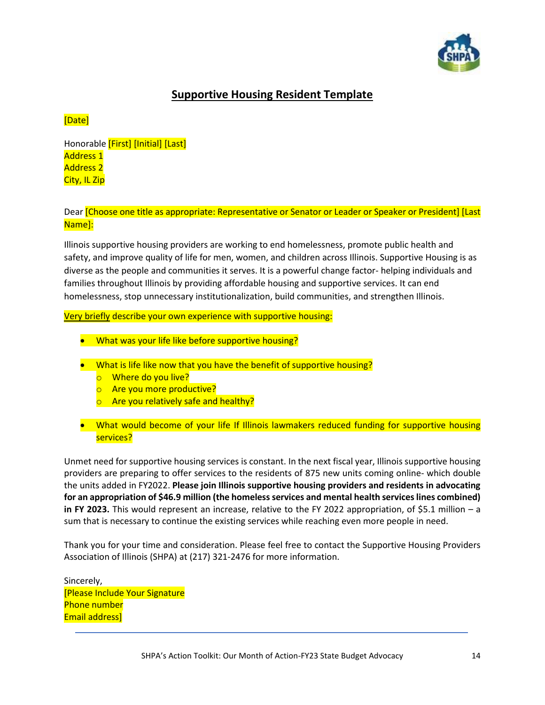

# **Supportive Housing Resident Template**

### [Date]

Honorable [First] [Initial] [Last] Address 1 Address 2 City, IL Zip

Dear *[Choose one title as appropriate: Representative or Senator or Leader or Speaker or President] [Last* Name]:

Illinois supportive housing providers are working to end homelessness, promote public health and safety, and improve quality of life for men, women, and children across Illinois. Supportive Housing is as diverse as the people and communities it serves. It is a powerful change factor- helping individuals and families throughout Illinois by providing affordable housing and supportive services. It can end homelessness, stop unnecessary institutionalization, build communities, and strengthen Illinois.

Very briefly describe your own experience with supportive housing:

- What was your life like before supportive housing?
- What is life like now that you have the benefit of supportive housing?
	- o Where do you live?
	- o Are you more productive?
	- o Are you relatively safe and healthy?
- What would become of your life If Illinois lawmakers reduced funding for supportive housing services?

Unmet need for supportive housing services is constant. In the next fiscal year, Illinois supportive housing providers are preparing to offer services to the residents of 875 new units coming online- which double the units added in FY2022. **Please join Illinois supportive housing providers and residents in advocating for an appropriation of \$46.9 million (the homeless services and mental health services lines combined) in FY 2023.** This would represent an increase, relative to the FY 2022 appropriation, of \$5.1 million – a sum that is necessary to continue the existing services while reaching even more people in need.

Thank you for your time and consideration. Please feel free to contact the Supportive Housing Providers Association of Illinois (SHPA) at (217) 321-2476 for more information.

Sincerely, [Please Include Your Signature Phone number Email address]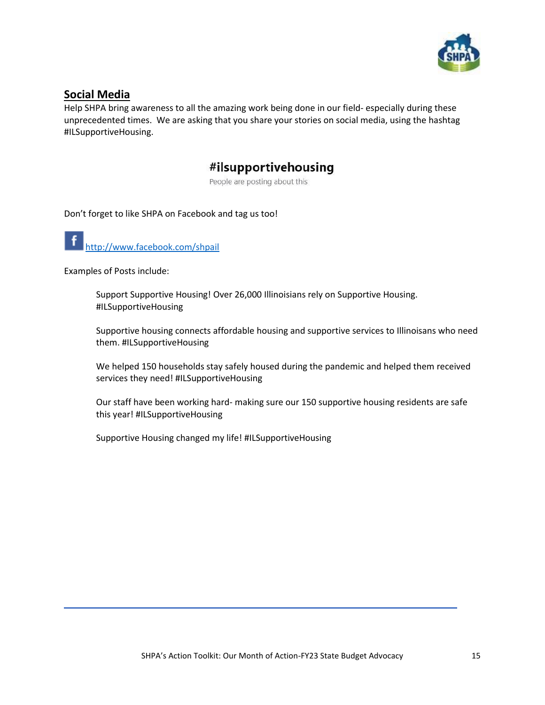

### **Social Media**

Help SHPA bring awareness to all the amazing work being done in our field- especially during these unprecedented times. We are asking that you share your stories on social media, using the hashtag #ILSupportiveHousing.

# #ilsupportivehousing

People are posting about this

Don't forget to like SHPA on Facebook and tag us too!

<http://www.facebook.com/shpail>

Examples of Posts include:

Support Supportive Housing! Over 26,000 Illinoisians rely on Supportive Housing. #ILSupportiveHousing

Supportive housing connects affordable housing and supportive services to Illinoisans who need them. #ILSupportiveHousing

We helped 150 households stay safely housed during the pandemic and helped them received services they need! #ILSupportiveHousing

Our staff have been working hard- making sure our 150 supportive housing residents are safe this year! #ILSupportiveHousing

Supportive Housing changed my life! #ILSupportiveHousing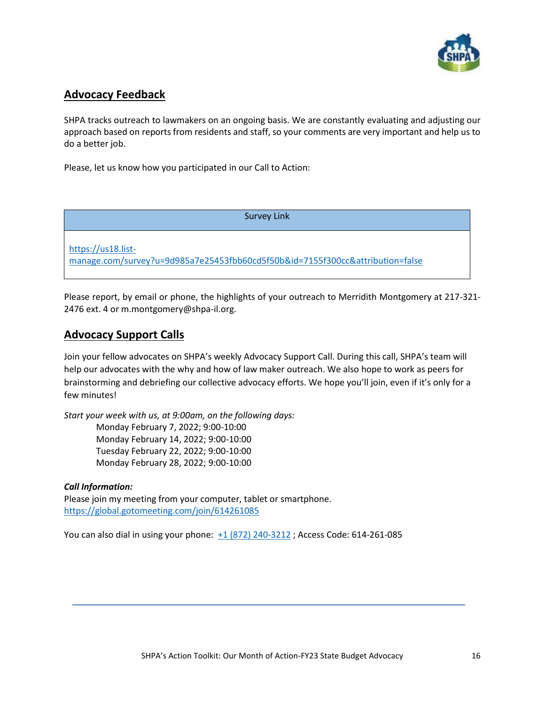

### **Advocacy Feedback**

SHPA tracks outreach to lawmakers on an ongoing basis. We are constantly evaluating and adjusting our approach based on reports from residents and staff, so your comments are very important and help us to do a better job.

Please, let us know how you participated in our Call to Action:

Survey Link

[https://us18.list](https://us18.list-manage.com/survey?u=9d985a7e25453fbb60cd5f50b&id=7155f300cc&attribution=false)[manage.com/survey?u=9d985a7e25453fbb60cd5f50b&id=7155f300cc&attribution=false](https://us18.list-manage.com/survey?u=9d985a7e25453fbb60cd5f50b&id=7155f300cc&attribution=false)

Please report, by email or phone, the highlights of your outreach to Merridith Montgomery at 217-321- 2476 ext. 4 or m.montgomery@shpa-il.org.

### **Advocacy Support Calls**

Join your fellow advocates on SHPA's weekly Advocacy Support Call. During this call, SHPA's team will help our advocates with the why and how of law maker outreach. We also hope to work as peers for brainstorming and debriefing our collective advocacy efforts. We hope you'll join, even if it's only for a few minutes!

*Start your week with us, at 9:00am, on the following days:* Monday February 7, 2022; 9:00-10:00 Monday February 14, 2022; 9:00-10:00 Tuesday February 22, 2022; 9:00-10:00 Monday February 28, 2022; 9:00-10:00

### *Call Information:*

Please join my meeting from your computer, tablet or smartphone. <https://global.gotomeeting.com/join/614261085>

You can also dial in using your phone: [+1 \(872\) 240-3212](tel:+18722403212,,614261085) ; Access Code: 614-261-085